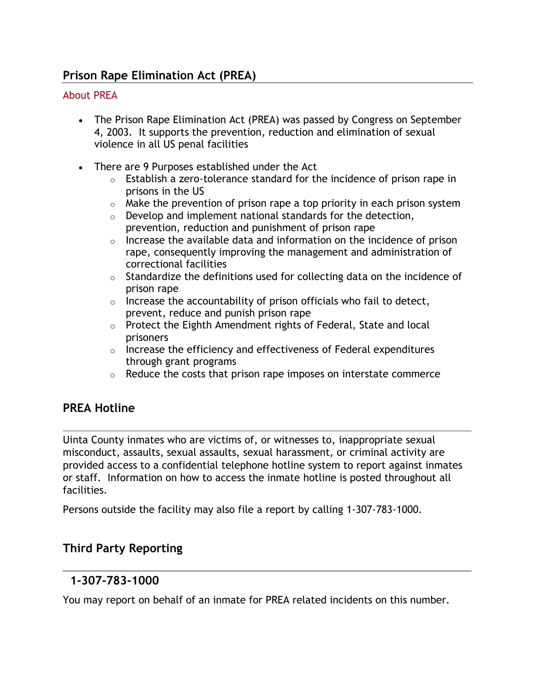# **Prison Rape Elimination Act (PREA)**

#### About PREA

- The Prison Rape Elimination Act (PREA) was passed by Congress on September 4, 2003. It supports the prevention, reduction and elimination of sexual violence in all US penal facilities
- There are 9 Purposes established under the Act
	- o Establish a zero-tolerance standard for the incidence of prison rape in prisons in the US
	- $\circ$  Make the prevention of prison rape a top priority in each prison system
	- $\circ$  Develop and implement national standards for the detection, prevention, reduction and punishment of prison rape
	- $\circ$  Increase the available data and information on the incidence of prison rape, consequently improving the management and administration of correctional facilities
	- $\circ$  Standardize the definitions used for collecting data on the incidence of prison rape
	- $\circ$  Increase the accountability of prison officials who fail to detect, prevent, reduce and punish prison rape
	- o Protect the Eighth Amendment rights of Federal, State and local prisoners
	- $\circ$  Increase the efficiency and effectiveness of Federal expenditures through grant programs
	- $\circ$  Reduce the costs that prison rape imposes on interstate commerce

## **PREA Hotline**

Uinta County inmates who are victims of, or witnesses to, inappropriate sexual misconduct, assaults, sexual assaults, sexual harassment, or criminal activity are provided access to a confidential telephone hotline system to report against inmates or staff. Information on how to access the inmate hotline is posted throughout all facilities.

Persons outside the facility may also file a report by calling 1-307-783-1000.

## **Third Party Reporting**

## **1-307-783-1000**

You may report on behalf of an inmate for PREA related incidents on this number.